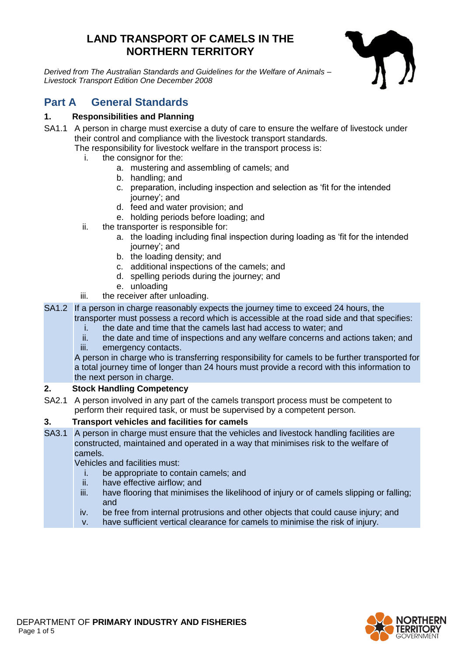# **LAND TRANSPORT OF CAMELS IN THE NORTHERN TERRITORY**

*Derived from The Australian Standards and Guidelines for the Welfare of Animals – Livestock Transport Edition One December 2008*



# **Part A General Standards**

# **1. Responsibilities and Planning**

- SA1.1 A person in charge must exercise a duty of care to ensure the welfare of livestock under their control and compliance with the livestock transport standards.
	- The responsibility for livestock welfare in the transport process is:
		- i. the consignor for the:
			- a. mustering and assembling of camels; and
			- b. handling; and
			- c. preparation, including inspection and selection as 'fit for the intended journey'; and
			- d. feed and water provision; and
			- e. holding periods before loading; and
		- ii. the transporter is responsible for:
			- a. the loading including final inspection during loading as 'fit for the intended journey'; and
			- b. the loading density; and
			- c. additional inspections of the camels; and
			- d. spelling periods during the journey; and
			- e. unloading
		- iii. the receiver after unloading.
- SA1.2 If a person in charge reasonably expects the journey time to exceed 24 hours, the transporter must possess a record which is accessible at the road side and that specifies:
	- i. the date and time that the camels last had access to water; and
	- ii. the date and time of inspections and any welfare concerns and actions taken; and
	- iii. emergency contacts.

A person in charge who is transferring responsibility for camels to be further transported for a total journey time of longer than 24 hours must provide a record with this information to the next person in charge.

## **2. Stock Handling Competency**

SA2.1 A person involved in any part of the camels transport process must be competent to perform their required task, or must be supervised by a competent person.

### **3. Transport vehicles and facilities for camels**

SA3.1 A person in charge must ensure that the vehicles and livestock handling facilities are constructed, maintained and operated in a way that minimises risk to the welfare of camels.

Vehicles and facilities must:

- i. be appropriate to contain camels; and
- ii. have effective airflow; and
- iii. have flooring that minimises the likelihood of injury or of camels slipping or falling: and
- iv. be free from internal protrusions and other objects that could cause injury; and
- v. have sufficient vertical clearance for camels to minimise the risk of injury.

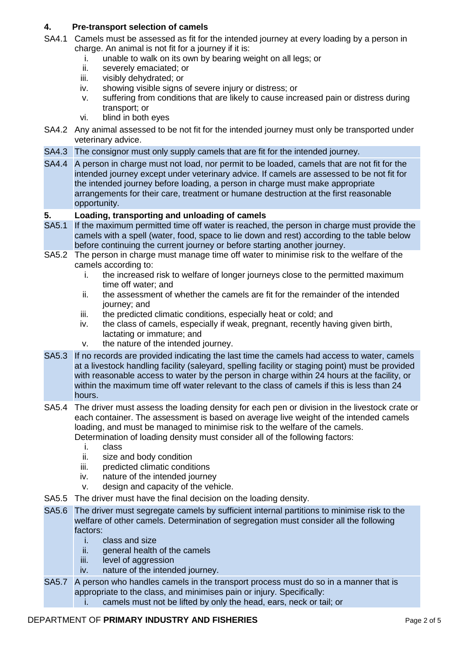# **4. Pre-transport selection of camels**

- SA4.1 Camels must be assessed as fit for the intended journey at every loading by a person in charge. An animal is not fit for a journey if it is:
	- i. unable to walk on its own by bearing weight on all legs; or
	- ii. severely emaciated; or
	- iii. visibly dehydrated; or
	- iv. showing visible signs of severe injury or distress; or
	- v. suffering from conditions that are likely to cause increased pain or distress during transport; or
	- vi. blind in both eyes
- SA4.2 Any animal assessed to be not fit for the intended journey must only be transported under veterinary advice.
- SA4.3 The consignor must only supply camels that are fit for the intended journey.
- SA4.4 A person in charge must not load, nor permit to be loaded, camels that are not fit for the intended journey except under veterinary advice. If camels are assessed to be not fit for the intended journey before loading, a person in charge must make appropriate arrangements for their care, treatment or humane destruction at the first reasonable opportunity.

#### **5. Loading, transporting and unloading of camels**

- SA5.1 If the maximum permitted time off water is reached, the person in charge must provide the camels with a spell (water, food, space to lie down and rest) according to the table below before continuing the current journey or before starting another journey.
- SA5.2 The person in charge must manage time off water to minimise risk to the welfare of the camels according to:
	- i. the increased risk to welfare of longer journeys close to the permitted maximum time off water; and
	- ii. the assessment of whether the camels are fit for the remainder of the intended journey; and
	- iii. the predicted climatic conditions, especially heat or cold; and
	- iv. the class of camels, especially if weak, pregnant, recently having given birth, lactating or immature; and
	- v. the nature of the intended journey.
- SA5.3 If no records are provided indicating the last time the camels had access to water, camels at a livestock handling facility (saleyard, spelling facility or staging point) must be provided with reasonable access to water by the person in charge within 24 hours at the facility, or within the maximum time off water relevant to the class of camels if this is less than 24 hours.
- SA5.4 The driver must assess the loading density for each pen or division in the livestock crate or each container. The assessment is based on average live weight of the intended camels loading, and must be managed to minimise risk to the welfare of the camels. Determination of loading density must consider all of the following factors:
	-
	- i. class size and body condition
	- iii. predicted climatic conditions
	- iv. nature of the intended journey
	- v. design and capacity of the vehicle.
- SA5.5 The driver must have the final decision on the loading density.
- SA5.6 The driver must segregate camels by sufficient internal partitions to minimise risk to the welfare of other camels. Determination of segregation must consider all the following factors:
	- i. class and size<br>ii. general health
	- general health of the camels
	- iii. level of aggression
	- iv. nature of the intended journey.
- SA5.7 A person who handles camels in the transport process must do so in a manner that is appropriate to the class, and minimises pain or injury. Specifically: i. camels must not be lifted by only the head, ears, neck or tail; or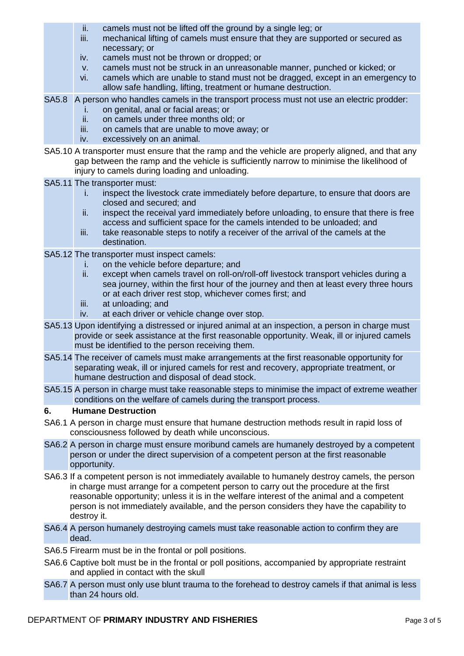- ii. camels must not be lifted off the ground by a single leg; or
- iii. mechanical lifting of camels must ensure that they are supported or secured as necessary; or
- iv. camels must not be thrown or dropped; or
- v. camels must not be struck in an unreasonable manner, punched or kicked; or
- vi. camels which are unable to stand must not be dragged, except in an emergency to allow safe handling, lifting, treatment or humane destruction.
- SA5.8 A person who handles camels in the transport process must not use an electric prodder:
	- i. on genital, anal or facial areas; or
	- ii. on camels under three months old; or
	- iii. on camels that are unable to move away; or
	- iv. excessively on an animal.
- SA5.10 A transporter must ensure that the ramp and the vehicle are properly aligned, and that any gap between the ramp and the vehicle is sufficiently narrow to minimise the likelihood of injury to camels during loading and unloading.
- SA5.11 The transporter must:
	- i. inspect the livestock crate immediately before departure, to ensure that doors are closed and secured; and
	- ii. inspect the receival yard immediately before unloading, to ensure that there is free access and sufficient space for the camels intended to be unloaded; and
	- iii. take reasonable steps to notify a receiver of the arrival of the camels at the destination.
- SA5.12 The transporter must inspect camels:
	- i. on the vehicle before departure; and
	- ii. except when camels travel on roll-on/roll-off livestock transport vehicles during a sea journey, within the first hour of the journey and then at least every three hours or at each driver rest stop, whichever comes first; and
	- iii. at unloading; and
	- iv. at each driver or vehicle change over stop.
- SA5.13 Upon identifying a distressed or injured animal at an inspection, a person in charge must provide or seek assistance at the first reasonable opportunity. Weak, ill or injured camels must be identified to the person receiving them.
- SA5.14 The receiver of camels must make arrangements at the first reasonable opportunity for separating weak, ill or injured camels for rest and recovery, appropriate treatment, or humane destruction and disposal of dead stock.
- SA5.15 A person in charge must take reasonable steps to minimise the impact of extreme weather conditions on the welfare of camels during the transport process.

### **6. Humane Destruction**

- SA6.1 A person in charge must ensure that humane destruction methods result in rapid loss of consciousness followed by death while unconscious.
- SA6.2 A person in charge must ensure moribund camels are humanely destroyed by a competent person or under the direct supervision of a competent person at the first reasonable opportunity.
- SA6.3 If a competent person is not immediately available to humanely destroy camels, the person in charge must arrange for a competent person to carry out the procedure at the first reasonable opportunity; unless it is in the welfare interest of the animal and a competent person is not immediately available, and the person considers they have the capability to destroy it.
- SA6.4 A person humanely destroying camels must take reasonable action to confirm they are dead.
- SA6.5 Firearm must be in the frontal or poll positions.
- SA6.6 Captive bolt must be in the frontal or poll positions, accompanied by appropriate restraint and applied in contact with the skull
- SA6.7 A person must only use blunt trauma to the forehead to destroy camels if that animal is less than 24 hours old.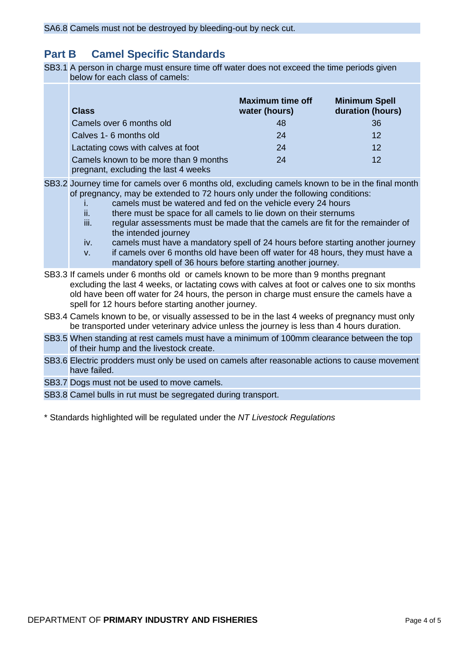# **Part B Camel Specific Standards**

SB3.1 A person in charge must ensure time off water does not exceed the time periods given below for each class of camels:

| <b>Class</b>                                                                  | <b>Maximum time off</b><br>water (hours) | <b>Minimum Spell</b><br>duration (hours) |
|-------------------------------------------------------------------------------|------------------------------------------|------------------------------------------|
| Camels over 6 months old                                                      | 48                                       | 36                                       |
| Calves 1- 6 months old                                                        | 24                                       | 12                                       |
| Lactating cows with calves at foot                                            | 24                                       | 12                                       |
| Camels known to be more than 9 months<br>pregnant, excluding the last 4 weeks | 24                                       | 12                                       |

SB3.2 Journey time for camels over 6 months old, excluding camels known to be in the final month of pregnancy, may be extended to 72 hours only under the following conditions:

- i. camels must be watered and fed on the vehicle every 24 hours
- ii. there must be space for all camels to lie down on their sternums
- iii. regular assessments must be made that the camels are fit for the remainder of the intended journey
- iv. camels must have a mandatory spell of 24 hours before starting another journey
- v. if camels over 6 months old have been off water for 48 hours, they must have a mandatory spell of 36 hours before starting another journey.
- SB3.3 If camels under 6 months old or camels known to be more than 9 months pregnant excluding the last 4 weeks, or lactating cows with calves at foot or calves one to six months old have been off water for 24 hours, the person in charge must ensure the camels have a spell for 12 hours before starting another journey.
- SB3.4 Camels known to be, or visually assessed to be in the last 4 weeks of pregnancy must only be transported under veterinary advice unless the journey is less than 4 hours duration.
- SB3.5 When standing at rest camels must have a minimum of 100mm clearance between the top of their hump and the livestock create.
- SB3.6 Electric prodders must only be used on camels after reasonable actions to cause movement have failed.

SB3.7 Dogs must not be used to move camels.

SB3.8 Camel bulls in rut must be segregated during transport.

\* Standards highlighted will be regulated under the *NT Livestock Regulations*